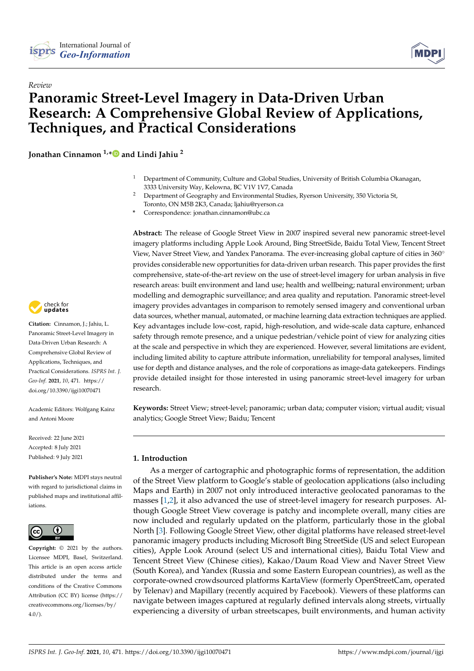



# *Review* **Panoramic Street-Level Imagery in Data-Driven Urban Research: A Comprehensive Global Review of Applications, Techniques, and Practical Considerations**

**Jonathan Cinnamon 1,[\\*](https://orcid.org/0000-0001-7383-6886) and Lindi Jahiu <sup>2</sup>**

- <sup>1</sup> Department of Community, Culture and Global Studies, University of British Columbia Okanagan, 3333 University Way, Kelowna, BC V1V 1V7, Canada
- <sup>2</sup> Department of Geography and Environmental Studies, Ryerson University, 350 Victoria St, Toronto, ON M5B 2K3, Canada; ljahiu@ryerson.ca
- **\*** Correspondence: jonathan.cinnamon@ubc.ca

**Abstract:** The release of Google Street View in 2007 inspired several new panoramic street-level imagery platforms including Apple Look Around, Bing StreetSide, Baidu Total View, Tencent Street View, Naver Street View, and Yandex Panorama. The ever-increasing global capture of cities in 360◦ provides considerable new opportunities for data-driven urban research. This paper provides the first comprehensive, state-of-the-art review on the use of street-level imagery for urban analysis in five research areas: built environment and land use; health and wellbeing; natural environment; urban modelling and demographic surveillance; and area quality and reputation. Panoramic street-level imagery provides advantages in comparison to remotely sensed imagery and conventional urban data sources, whether manual, automated, or machine learning data extraction techniques are applied. Key advantages include low-cost, rapid, high-resolution, and wide-scale data capture, enhanced safety through remote presence, and a unique pedestrian/vehicle point of view for analyzing cities at the scale and perspective in which they are experienced. However, several limitations are evident, including limited ability to capture attribute information, unreliability for temporal analyses, limited use for depth and distance analyses, and the role of corporations as image-data gatekeepers. Findings provide detailed insight for those interested in using panoramic street-level imagery for urban research.

**Keywords:** Street View; street-level; panoramic; urban data; computer vision; virtual audit; visual analytics; Google Street View; Baidu; Tencent

# **1. Introduction**

As a merger of cartographic and photographic forms of representation, the addition of the Street View platform to Google's stable of geolocation applications (also including Maps and Earth) in 2007 not only introduced interactive geolocated panoramas to the masses [\[1](#page-12-0)[,2\]](#page-12-1), it also advanced the use of street-level imagery for research purposes. Although Google Street View coverage is patchy and incomplete overall, many cities are now included and regularly updated on the platform, particularly those in the global North [\[3\]](#page-12-2). Following Google Street View, other digital platforms have released street-level panoramic imagery products including Microsoft Bing StreetSide (US and select European cities), Apple Look Around (select US and international cities), Baidu Total View and Tencent Street View (Chinese cities), Kakao/Daum Road View and Naver Street View (South Korea), and Yandex (Russia and some Eastern European countries), as well as the corporate-owned crowdsourced platforms KartaView (formerly OpenStreetCam, operated by Telenav) and Mapillary (recently acquired by Facebook). Viewers of these platforms can navigate between images captured at regularly defined intervals along streets, virtually experiencing a diversity of urban streetscapes, built environments, and human activity



**Citation:** Cinnamon, J.; Jahiu, L. Panoramic Street-Level Imagery in Data-Driven Urban Research: A Comprehensive Global Review of Applications, Techniques, and Practical Considerations. *ISPRS Int. J. Geo-Inf.* **2021**, *10*, 471. [https://](https://doi.org/10.3390/ijgi10070471) [doi.org/10.3390/ijgi10070471](https://doi.org/10.3390/ijgi10070471)

Academic Editors: Wolfgang Kainz and Antoni Moore

Received: 22 June 2021 Accepted: 8 July 2021 Published: 9 July 2021

**Publisher's Note:** MDPI stays neutral with regard to jurisdictional claims in published maps and institutional affiliations.



**Copyright:** © 2021 by the authors. Licensee MDPI, Basel, Switzerland. This article is an open access article distributed under the terms and conditions of the Creative Commons Attribution (CC BY) license (https:/[/](https://creativecommons.org/licenses/by/4.0/) [creativecommons.org/licenses/by/](https://creativecommons.org/licenses/by/4.0/) 4.0/).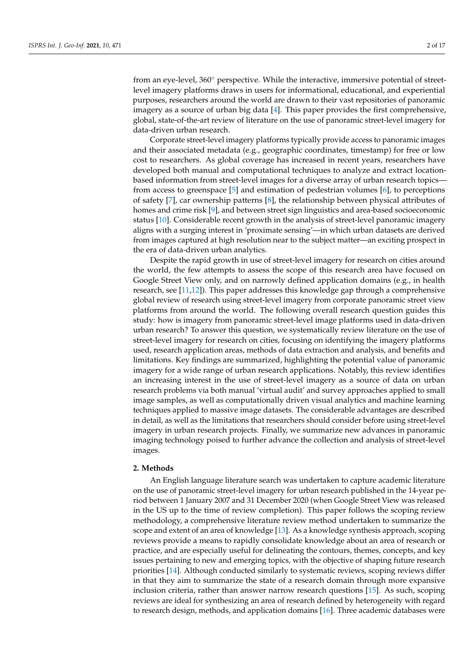from an eye-level, 360° perspective. While the interactive, immersive potential of streetlevel imagery platforms draws in users for informational, educational, and experiential purposes, researchers around the world are drawn to their vast repositories of panoramic imagery as a source of urban big data [\[4\]](#page-12-3). This paper provides the first comprehensive, global, state-of-the-art review of literature on the use of panoramic street-level imagery for data-driven urban research.

Corporate street-level imagery platforms typically provide access to panoramic images and their associated metadata (e.g., geographic coordinates, timestamp) for free or low cost to researchers. As global coverage has increased in recent years, researchers have developed both manual and computational techniques to analyze and extract locationbased information from street-level images for a diverse array of urban research topics from access to greenspace [\[5\]](#page-12-4) and estimation of pedestrian volumes [\[6\]](#page-12-5), to perceptions of safety [\[7\]](#page-12-6), car ownership patterns [\[8\]](#page-12-7), the relationship between physical attributes of homes and crime risk [\[9\]](#page-12-8), and between street sign linguistics and area-based socioeconomic status [\[10\]](#page-13-0). Considerable recent growth in the analysis of street-level panoramic imagery aligns with a surging interest in 'proximate sensing'—in which urban datasets are derived from images captured at high resolution near to the subject matter—an exciting prospect in the era of data-driven urban analytics.

Despite the rapid growth in use of street-level imagery for research on cities around the world, the few attempts to assess the scope of this research area have focused on Google Street View only, and on narrowly defined application domains (e.g., in health research, see [\[11,](#page-13-1)[12\]](#page-13-2)). This paper addresses this knowledge gap through a comprehensive global review of research using street-level imagery from corporate panoramic street view platforms from around the world. The following overall research question guides this study: how is imagery from panoramic street-level image platforms used in data-driven urban research? To answer this question, we systematically review literature on the use of street-level imagery for research on cities, focusing on identifying the imagery platforms used, research application areas, methods of data extraction and analysis, and benefits and limitations. Key findings are summarized, highlighting the potential value of panoramic imagery for a wide range of urban research applications. Notably, this review identifies an increasing interest in the use of street-level imagery as a source of data on urban research problems via both manual 'virtual audit' and survey approaches applied to small image samples, as well as computationally driven visual analytics and machine learning techniques applied to massive image datasets. The considerable advantages are described in detail, as well as the limitations that researchers should consider before using street-level imagery in urban research projects. Finally, we summarize new advances in panoramic imaging technology poised to further advance the collection and analysis of street-level images.

### **2. Methods**

An English language literature search was undertaken to capture academic literature on the use of panoramic street-level imagery for urban research published in the 14-year period between 1 January 2007 and 31 December 2020 (when Google Street View was released in the US up to the time of review completion). This paper follows the scoping review methodology, a comprehensive literature review method undertaken to summarize the scope and extent of an area of knowledge [\[13\]](#page-13-3). As a knowledge synthesis approach, scoping reviews provide a means to rapidly consolidate knowledge about an area of research or practice, and are especially useful for delineating the contours, themes, concepts, and key issues pertaining to new and emerging topics, with the objective of shaping future research priorities [\[14\]](#page-13-4). Although conducted similarly to systematic reviews, scoping reviews differ in that they aim to summarize the state of a research domain through more expansive inclusion criteria, rather than answer narrow research questions [\[15\]](#page-13-5). As such, scoping reviews are ideal for synthesizing an area of research defined by heterogeneity with regard to research design, methods, and application domains [\[16\]](#page-13-6). Three academic databases were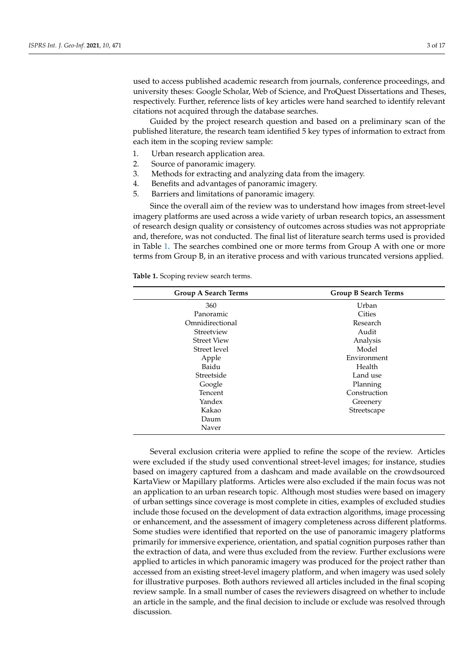used to access published academic research from journals, conference proceedings, and university theses: Google Scholar, Web of Science, and ProQuest Dissertations and Theses, respectively. Further, reference lists of key articles were hand searched to identify relevant citations not acquired through the database searches.

Guided by the project research question and based on a preliminary scan of the published literature, the research team identified 5 key types of information to extract from each item in the scoping review sample:

- 1. Urban research application area.
- 2. Source of panoramic imagery.
- 3. Methods for extracting and analyzing data from the imagery.
- 4. Benefits and advantages of panoramic imagery.
- 5. Barriers and limitations of panoramic imagery.

Since the overall aim of the review was to understand how images from street-level imagery platforms are used across a wide variety of urban research topics, an assessment of research design quality or consistency of outcomes across studies was not appropriate and, therefore, was not conducted. The final list of literature search terms used is provided in Table [1.](#page-2-0) The searches combined one or more terms from Group A with one or more terms from Group B, in an iterative process and with various truncated versions applied.

<span id="page-2-0"></span>**Table 1.** Scoping review search terms.

| <b>Group A Search Terms</b> | <b>Group B Search Terms</b> |  |  |
|-----------------------------|-----------------------------|--|--|
| 360                         | Urban                       |  |  |
| Panoramic                   | Cities                      |  |  |
| Omnidirectional             | Research                    |  |  |
| Streetview                  | Audit                       |  |  |
| <b>Street View</b>          | Analysis                    |  |  |
| Street level                | Model                       |  |  |
| Apple                       | Environment                 |  |  |
| Baidu                       | Health                      |  |  |
| Streetside                  | Land use                    |  |  |
| Google                      | Planning                    |  |  |
| Tencent                     | Construction                |  |  |
| Yandex                      | Greenery                    |  |  |
| Kakao                       | Streetscape                 |  |  |
| Daum                        |                             |  |  |
| Naver                       |                             |  |  |

Several exclusion criteria were applied to refine the scope of the review. Articles were excluded if the study used conventional street-level images; for instance, studies based on imagery captured from a dashcam and made available on the crowdsourced KartaView or Mapillary platforms. Articles were also excluded if the main focus was not an application to an urban research topic. Although most studies were based on imagery of urban settings since coverage is most complete in cities, examples of excluded studies include those focused on the development of data extraction algorithms, image processing or enhancement, and the assessment of imagery completeness across different platforms. Some studies were identified that reported on the use of panoramic imagery platforms primarily for immersive experience, orientation, and spatial cognition purposes rather than the extraction of data, and were thus excluded from the review. Further exclusions were applied to articles in which panoramic imagery was produced for the project rather than accessed from an existing street-level imagery platform, and when imagery was used solely for illustrative purposes. Both authors reviewed all articles included in the final scoping review sample. In a small number of cases the reviewers disagreed on whether to include an article in the sample, and the final decision to include or exclude was resolved through discussion.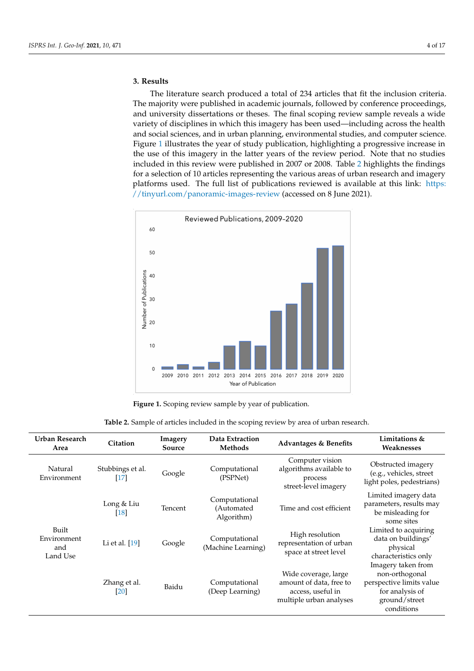# **3. Results**

The literature search produced a total of 234 articles that fit the inclusion criteria. The majority were published in academic journals, followed by conference proceedings, and university dissertations or theses. The final scoping review sample reveals a wide variety of disciplines in which this imagery has been used—including across the health and social sciences, and in urban planning, environmental studies, and computer science. Figure [1](#page-3-0) illustrates the year of study publication, highlighting a progressive increase in the use of this imagery in the latter years of the review period. Note that no studies included in this review were published in 2007 or 2008. Table [2](#page-4-0) highlights the findings for a selection of 10 articles representing the various areas of urban research and imagery platforms used. The full list of publications reviewed is available at this link: [https:](https://tinyurl.com/panoramic-images-review) [//tinyurl.com/panoramic-images-review](https://tinyurl.com/panoramic-images-review) (accessed on 8 June 2021).

<span id="page-3-0"></span>

**Figure 1.** Scoping review sample by year of publication.

| Urban Research<br>Area                  | Citation                                 | Imagery<br>Source | Data Extraction<br>Methods                | <b>Advantages &amp; Benefits</b>                                                                | Limitations &<br>Weaknesses                                                                                        |
|-----------------------------------------|------------------------------------------|-------------------|-------------------------------------------|-------------------------------------------------------------------------------------------------|--------------------------------------------------------------------------------------------------------------------|
| Natural<br>Environment                  | Stubbings et al.<br>$[17] \label{eq:17}$ | Google            | Computational<br>(PSPNet)                 | Computer vision<br>algorithms available to<br>process<br>street-level imagery                   | Obstructed imagery<br>(e.g., vehicles, street<br>light poles, pedestrians)                                         |
|                                         | Long & Liu<br>$[18]$                     | Tencent           | Computational<br>(Automated<br>Algorithm) | Time and cost efficient                                                                         | Limited imagery data<br>parameters, results may<br>be misleading for<br>some sites                                 |
| Built<br>Environment<br>and<br>Land Use | Li et al. $[19]$                         | Google            | Computational<br>(Machine Learning)       | High resolution<br>representation of urban<br>space at street level                             | Limited to acquiring<br>data on buildings'<br>physical<br>characteristics only                                     |
|                                         | Zhang et al.<br>[20]                     | Baidu             | Computational<br>(Deep Learning)          | Wide coverage, large<br>amount of data, free to<br>access, useful in<br>multiple urban analyses | Imagery taken from<br>non-orthogonal<br>perspective limits value<br>for analysis of<br>ground/street<br>conditions |

**Table 2.** Sample of articles included in the scoping review by area of urban research.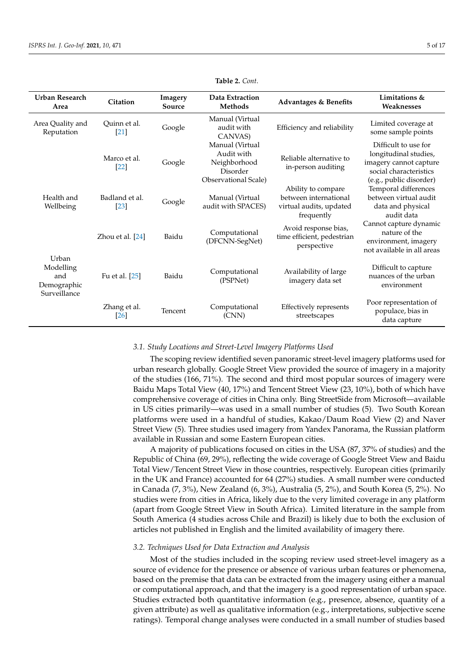<span id="page-4-0"></span>

| Urban Research<br>Area                                   | Citation                            | Imagery<br>Source | Data Extraction<br><b>Methods</b>                                                 | <b>Advantages &amp; Benefits</b>                                                     | Limitations &<br>Weaknesses                                                                                                  |
|----------------------------------------------------------|-------------------------------------|-------------------|-----------------------------------------------------------------------------------|--------------------------------------------------------------------------------------|------------------------------------------------------------------------------------------------------------------------------|
| Area Quality and<br>Reputation                           | Ouinn et al.<br>$[21]$              | Google            | Manual (Virtual<br>audit with<br>CANVAS)                                          | Efficiency and reliability                                                           | Limited coverage at<br>some sample points                                                                                    |
|                                                          | Marco et al.<br>[22]                | Google            | Manual (Virtual<br>Audit with<br>Neighborhood<br>Disorder<br>Observational Scale) | Reliable alternative to<br>in-person auditing                                        | Difficult to use for<br>longitudinal studies,<br>imagery cannot capture<br>social characteristics<br>(e.g., public disorder) |
| Health and<br>Wellbeing                                  | Badland et al.<br>$\left[23\right]$ | Google            | Manual (Virtual<br>audit with SPACES)                                             | Ability to compare<br>between international<br>virtual audits, updated<br>frequently | Temporal differences<br>between virtual audit<br>data and physical<br>audit data                                             |
|                                                          | Zhou et al. [24]                    | Baidu             | Computational<br>(DFCNN-SegNet)                                                   | Avoid response bias,<br>time efficient, pedestrian<br>perspective                    | Cannot capture dynamic<br>nature of the<br>environment, imagery<br>not available in all areas                                |
| Urban<br>Modelling<br>and<br>Demographic<br>Surveillance | Fu et al. [25]                      | Baidu             | Computational<br>(PSPNet)                                                         | Availability of large<br>imagery data set                                            | Difficult to capture<br>nuances of the urban<br>environment                                                                  |
|                                                          | Zhang et al.<br>[26]                | Tencent           | Computational<br>(CNN)                                                            | Effectively represents<br>streetscapes                                               | Poor representation of<br>populace, bias in<br>data capture                                                                  |

# **Table 2.** *Cont*.

### *3.1. Study Locations and Street-Level Imagery Platforms Used*

The scoping review identified seven panoramic street-level imagery platforms used for urban research globally. Google Street View provided the source of imagery in a majority of the studies (166, 71%). The second and third most popular sources of imagery were Baidu Maps Total View (40, 17%) and Tencent Street View (23, 10%), both of which have comprehensive coverage of cities in China only. Bing StreetSide from Microsoft—available in US cities primarily—was used in a small number of studies (5). Two South Korean platforms were used in a handful of studies, Kakao/Daum Road View (2) and Naver Street View (5). Three studies used imagery from Yandex Panorama, the Russian platform available in Russian and some Eastern European cities.

A majority of publications focused on cities in the USA (87, 37% of studies) and the Republic of China (69, 29%), reflecting the wide coverage of Google Street View and Baidu Total View/Tencent Street View in those countries, respectively. European cities (primarily in the UK and France) accounted for 64 (27%) studies. A small number were conducted in Canada (7, 3%), New Zealand (6, 3%), Australia (5, 2%), and South Korea (5, 2%). No studies were from cities in Africa, likely due to the very limited coverage in any platform (apart from Google Street View in South Africa). Limited literature in the sample from South America (4 studies across Chile and Brazil) is likely due to both the exclusion of articles not published in English and the limited availability of imagery there.

### *3.2. Techniques Used for Data Extraction and Analysis*

Most of the studies included in the scoping review used street-level imagery as a source of evidence for the presence or absence of various urban features or phenomena, based on the premise that data can be extracted from the imagery using either a manual or computational approach, and that the imagery is a good representation of urban space. Studies extracted both quantitative information (e.g., presence, absence, quantity of a given attribute) as well as qualitative information (e.g., interpretations, subjective scene ratings). Temporal change analyses were conducted in a small number of studies based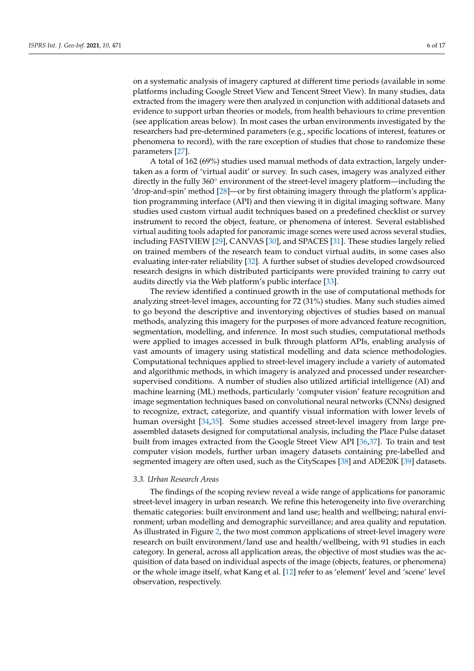on a systematic analysis of imagery captured at different time periods (available in some platforms including Google Street View and Tencent Street View). In many studies, data extracted from the imagery were then analyzed in conjunction with additional datasets and evidence to support urban theories or models, from health behaviours to crime prevention (see application areas below). In most cases the urban environments investigated by the researchers had pre-determined parameters (e.g., specific locations of interest, features or phenomena to record), with the rare exception of studies that chose to randomize these parameters [\[27\]](#page-13-17).

A total of 162 (69%) studies used manual methods of data extraction, largely undertaken as a form of 'virtual audit' or survey. In such cases, imagery was analyzed either directly in the fully 360° environment of the street-level imagery platform—including the 'drop-and-spin' method [\[28\]](#page-13-18)—or by first obtaining imagery through the platform's application programming interface (API) and then viewing it in digital imaging software. Many studies used custom virtual audit techniques based on a predefined checklist or survey instrument to record the object, feature, or phenomena of interest. Several established virtual auditing tools adapted for panoramic image scenes were used across several studies, including FASTVIEW [\[29\]](#page-13-19), CANVAS [\[30\]](#page-13-20), and SPACES [\[31\]](#page-13-21). These studies largely relied on trained members of the research team to conduct virtual audits, in some cases also evaluating inter-rater reliability [\[32\]](#page-13-22). A further subset of studies developed crowdsourced research designs in which distributed participants were provided training to carry out audits directly via the Web platform's public interface [\[33\]](#page-13-23).

The review identified a continued growth in the use of computational methods for analyzing street-level images, accounting for 72 (31%) studies. Many such studies aimed to go beyond the descriptive and inventorying objectives of studies based on manual methods, analyzing this imagery for the purposes of more advanced feature recognition, segmentation, modelling, and inference. In most such studies, computational methods were applied to images accessed in bulk through platform APIs, enabling analysis of vast amounts of imagery using statistical modelling and data science methodologies. Computational techniques applied to street-level imagery include a variety of automated and algorithmic methods, in which imagery is analyzed and processed under researchersupervised conditions. A number of studies also utilized artificial intelligence (AI) and machine learning (ML) methods, particularly 'computer vision' feature recognition and image segmentation techniques based on convolutional neural networks (CNNs) designed to recognize, extract, categorize, and quantify visual information with lower levels of human oversight [\[34](#page-13-24)[,35\]](#page-13-25). Some studies accessed street-level imagery from large preassembled datasets designed for computational analysis, including the Place Pulse dataset built from images extracted from the Google Street View API [\[36,](#page-13-26)[37\]](#page-13-27). To train and test computer vision models, further urban imagery datasets containing pre-labelled and segmented imagery are often used, such as the CityScapes [\[38\]](#page-13-28) and ADE20K [\[39\]](#page-14-0) datasets.

### *3.3. Urban Research Areas*

The findings of the scoping review reveal a wide range of applications for panoramic street-level imagery in urban research. We refine this heterogeneity into five overarching thematic categories: built environment and land use; health and wellbeing; natural environment; urban modelling and demographic surveillance; and area quality and reputation. As illustrated in Figure [2,](#page-6-0) the two most common applications of street-level imagery were research on built environment/land use and health/wellbeing, with 91 studies in each category. In general, across all application areas, the objective of most studies was the acquisition of data based on individual aspects of the image (objects, features, or phenomena) or the whole image itself, what Kang et al. [\[12\]](#page-13-2) refer to as 'element' level and 'scene' level observation, respectively.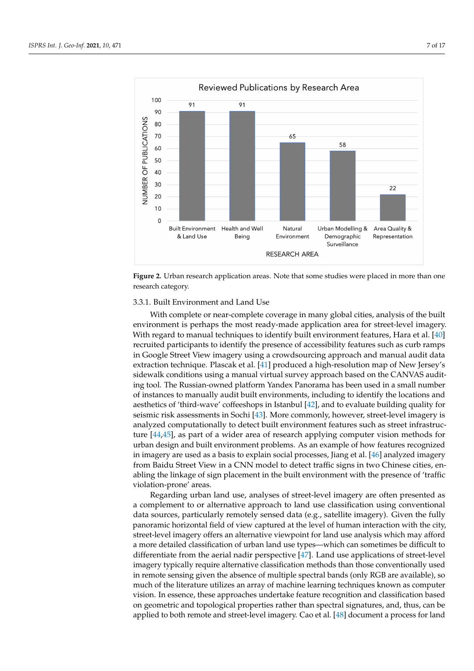<span id="page-6-0"></span>

**Figure 2.** Urban research application areas. Note that some studies were placed in more than one research category.

### 3.3.1. Built Environment and Land Use

With complete or near-complete coverage in many global cities, analysis of the built environment is perhaps the most ready-made application area for street-level imagery. With regard to manual techniques to identify built environment features, Hara et al. [\[40\]](#page-14-1) recruited participants to identify the presence of accessibility features such as curb ramps in Google Street View imagery using a crowdsourcing approach and manual audit data extraction technique. Plascak et al. [\[41\]](#page-14-2) produced a high-resolution map of New Jersey's sidewalk conditions using a manual virtual survey approach based on the CANVAS auditing tool. The Russian-owned platform Yandex Panorama has been used in a small number of instances to manually audit built environments, including to identify the locations and aesthetics of 'third-wave' coffeeshops in Istanbul [\[42\]](#page-14-3), and to evaluate building quality for seismic risk assessments in Sochi [\[43\]](#page-14-4). More commonly, however, street-level imagery is analyzed computationally to detect built environment features such as street infrastructure [\[44,](#page-14-5)[45\]](#page-14-6), as part of a wider area of research applying computer vision methods for urban design and built environment problems. As an example of how features recognized in imagery are used as a basis to explain social processes, Jiang et al. [\[46\]](#page-14-7) analyzed imagery from Baidu Street View in a CNN model to detect traffic signs in two Chinese cities, enabling the linkage of sign placement in the built environment with the presence of 'traffic violation-prone' areas.

street-level imagery offers an alternative viewpoint for land use analysis which may afford Regarding urban land use, analyses of street-level imagery are often presented as a complement to or alternative approach to land use classification using conventional data sources, particularly remotely sensed data (e.g., satellite imagery). Given the fully panoramic horizontal field of view captured at the level of human interaction with the city, a more detailed classification of urban land use types—which can sometimes be difficult to differentiate from the aerial nadir perspective [\[47\]](#page-14-8). Land use applications of street-level imagery typically require alternative classification methods than those conventionally used in remote sensing given the absence of multiple spectral bands (only RGB are available), so much of the literature utilizes an array of machine learning techniques known as computer vision. In essence, these approaches undertake feature recognition and classification based on geometric and topological properties rather than spectral signatures, and, thus, can be applied to both remote and street-level imagery. Cao et al. [\[48\]](#page-14-9) document a process for land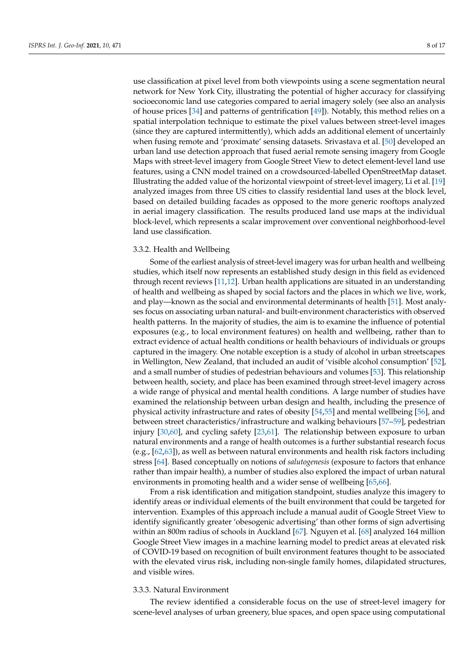use classification at pixel level from both viewpoints using a scene segmentation neural network for New York City, illustrating the potential of higher accuracy for classifying socioeconomic land use categories compared to aerial imagery solely (see also an analysis of house prices [\[34\]](#page-13-24) and patterns of gentrification [\[49\]](#page-14-10)). Notably, this method relies on a spatial interpolation technique to estimate the pixel values between street-level images (since they are captured intermittently), which adds an additional element of uncertainly when fusing remote and 'proximate' sensing datasets. Srivastava et al. [\[50\]](#page-14-11) developed an urban land use detection approach that fused aerial remote sensing imagery from Google Maps with street-level imagery from Google Street View to detect element-level land use features, using a CNN model trained on a crowdsourced-labelled OpenStreetMap dataset. Illustrating the added value of the horizontal viewpoint of street-level imagery, Li et al. [\[19\]](#page-13-9) analyzed images from three US cities to classify residential land uses at the block level, based on detailed building facades as opposed to the more generic rooftops analyzed in aerial imagery classification. The results produced land use maps at the individual block-level, which represents a scalar improvement over conventional neighborhood-level land use classification.

# 3.3.2. Health and Wellbeing

Some of the earliest analysis of street-level imagery was for urban health and wellbeing studies, which itself now represents an established study design in this field as evidenced through recent reviews [\[11,](#page-13-1)[12\]](#page-13-2). Urban health applications are situated in an understanding of health and wellbeing as shaped by social factors and the places in which we live, work, and play—known as the social and environmental determinants of health [\[51\]](#page-14-12). Most analyses focus on associating urban natural- and built-environment characteristics with observed health patterns. In the majority of studies, the aim is to examine the influence of potential exposures (e.g., to local environment features) on health and wellbeing, rather than to extract evidence of actual health conditions or health behaviours of individuals or groups captured in the imagery. One notable exception is a study of alcohol in urban streetscapes in Wellington, New Zealand, that included an audit of 'visible alcohol consumption' [\[52\]](#page-14-13), and a small number of studies of pedestrian behaviours and volumes [\[53\]](#page-14-14). This relationship between health, society, and place has been examined through street-level imagery across a wide range of physical and mental health conditions. A large number of studies have examined the relationship between urban design and health, including the presence of physical activity infrastructure and rates of obesity [\[54](#page-14-15)[,55\]](#page-14-16) and mental wellbeing [\[56\]](#page-14-17), and between street characteristics/infrastructure and walking behaviours [\[57](#page-14-18)[–59\]](#page-14-19), pedestrian injury [\[30,](#page-13-20)[60\]](#page-14-20), and cycling safety [\[23,](#page-13-13)[61\]](#page-14-21). The relationship between exposure to urban natural environments and a range of health outcomes is a further substantial research focus (e.g., [\[62](#page-14-22)[,63\]](#page-14-23)), as well as between natural environments and health risk factors including stress [\[64\]](#page-15-0). Based conceptually on notions of *salutogenesis* (exposure to factors that enhance rather than impair health), a number of studies also explored the impact of urban natural environments in promoting health and a wider sense of wellbeing [\[65](#page-15-1)[,66\]](#page-15-2).

From a risk identification and mitigation standpoint, studies analyze this imagery to identify areas or individual elements of the built environment that could be targeted for intervention. Examples of this approach include a manual audit of Google Street View to identify significantly greater 'obesogenic advertising' than other forms of sign advertising within an 800m radius of schools in Auckland [\[67\]](#page-15-3). Nguyen et al. [\[68\]](#page-15-4) analyzed 164 million Google Street View images in a machine learning model to predict areas at elevated risk of COVID-19 based on recognition of built environment features thought to be associated with the elevated virus risk, including non-single family homes, dilapidated structures, and visible wires.

# 3.3.3. Natural Environment

The review identified a considerable focus on the use of street-level imagery for scene-level analyses of urban greenery, blue spaces, and open space using computational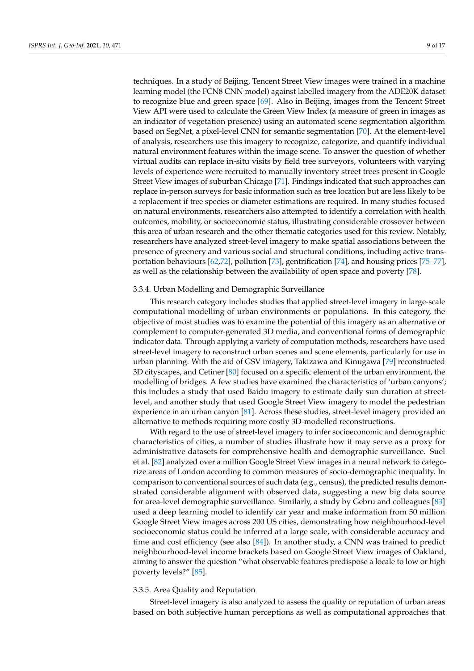techniques. In a study of Beijing, Tencent Street View images were trained in a machine learning model (the FCN8 CNN model) against labelled imagery from the ADE20K dataset to recognize blue and green space [\[69\]](#page-15-5). Also in Beijing, images from the Tencent Street View API were used to calculate the Green View Index (a measure of green in images as an indicator of vegetation presence) using an automated scene segmentation algorithm based on SegNet, a pixel-level CNN for semantic segmentation [\[70\]](#page-15-6). At the element-level of analysis, researchers use this imagery to recognize, categorize, and quantify individual natural environment features within the image scene. To answer the question of whether virtual audits can replace in-situ visits by field tree surveyors, volunteers with varying levels of experience were recruited to manually inventory street trees present in Google Street View images of suburban Chicago [\[71\]](#page-15-7). Findings indicated that such approaches can replace in-person surveys for basic information such as tree location but are less likely to be a replacement if tree species or diameter estimations are required. In many studies focused on natural environments, researchers also attempted to identify a correlation with health outcomes, mobility, or socioeconomic status, illustrating considerable crossover between this area of urban research and the other thematic categories used for this review. Notably, researchers have analyzed street-level imagery to make spatial associations between the presence of greenery and various social and structural conditions, including active transportation behaviours [\[62](#page-14-22)[,72\]](#page-15-8), pollution [\[73\]](#page-15-9), gentrification [\[74\]](#page-15-10), and housing prices [\[75–](#page-15-11)[77\]](#page-15-12), as well as the relationship between the availability of open space and poverty [\[78\]](#page-15-13).

### 3.3.4. Urban Modelling and Demographic Surveillance

This research category includes studies that applied street-level imagery in large-scale computational modelling of urban environments or populations. In this category, the objective of most studies was to examine the potential of this imagery as an alternative or complement to computer-generated 3D media, and conventional forms of demographic indicator data. Through applying a variety of computation methods, researchers have used street-level imagery to reconstruct urban scenes and scene elements, particularly for use in urban planning. With the aid of GSV imagery, Takizawa and Kinugawa [\[79\]](#page-15-14) reconstructed 3D cityscapes, and Cetiner [\[80\]](#page-15-15) focused on a specific element of the urban environment, the modelling of bridges. A few studies have examined the characteristics of 'urban canyons'; this includes a study that used Baidu imagery to estimate daily sun duration at streetlevel, and another study that used Google Street View imagery to model the pedestrian experience in an urban canyon [\[81\]](#page-15-16). Across these studies, street-level imagery provided an alternative to methods requiring more costly 3D-modelled reconstructions.

With regard to the use of street-level imagery to infer socioeconomic and demographic characteristics of cities, a number of studies illustrate how it may serve as a proxy for administrative datasets for comprehensive health and demographic surveillance. Suel et al. [\[82\]](#page-15-17) analyzed over a million Google Street View images in a neural network to categorize areas of London according to common measures of socio-demographic inequality. In comparison to conventional sources of such data (e.g., census), the predicted results demonstrated considerable alignment with observed data, suggesting a new big data source for area-level demographic surveillance. Similarly, a study by Gebru and colleagues [\[83\]](#page-15-18) used a deep learning model to identify car year and make information from 50 million Google Street View images across 200 US cities, demonstrating how neighbourhood-level socioeconomic status could be inferred at a large scale, with considerable accuracy and time and cost efficiency (see also [\[84\]](#page-15-19)). In another study, a CNN was trained to predict neighbourhood-level income brackets based on Google Street View images of Oakland, aiming to answer the question "what observable features predispose a locale to low or high poverty levels?" [\[85\]](#page-15-20).

### 3.3.5. Area Quality and Reputation

Street-level imagery is also analyzed to assess the quality or reputation of urban areas based on both subjective human perceptions as well as computational approaches that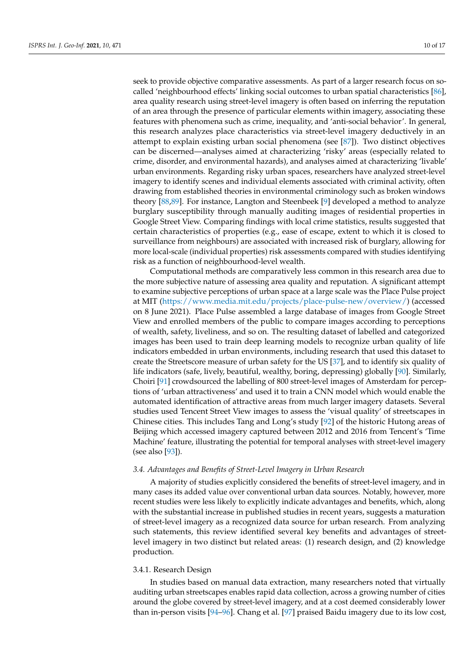seek to provide objective comparative assessments. As part of a larger research focus on socalled 'neighbourhood effects' linking social outcomes to urban spatial characteristics [\[86\]](#page-15-21), area quality research using street-level imagery is often based on inferring the reputation of an area through the presence of particular elements within imagery, associating these features with phenomena such as crime, inequality, and 'anti-social behavior'. In general, this research analyzes place characteristics via street-level imagery deductively in an attempt to explain existing urban social phenomena (see [\[87\]](#page-15-22)). Two distinct objectives can be discerned—analyses aimed at characterizing 'risky' areas (especially related to crime, disorder, and environmental hazards), and analyses aimed at characterizing 'livable' urban environments. Regarding risky urban spaces, researchers have analyzed street-level imagery to identify scenes and individual elements associated with criminal activity, often drawing from established theories in environmental criminology such as broken windows theory [\[88,](#page-15-23)[89\]](#page-15-24). For instance, Langton and Steenbeek [\[9\]](#page-12-8) developed a method to analyze burglary susceptibility through manually auditing images of residential properties in Google Street View. Comparing findings with local crime statistics, results suggested that certain characteristics of properties (e.g., ease of escape, extent to which it is closed to surveillance from neighbours) are associated with increased risk of burglary, allowing for more local-scale (individual properties) risk assessments compared with studies identifying risk as a function of neighbourhood-level wealth.

Computational methods are comparatively less common in this research area due to the more subjective nature of assessing area quality and reputation. A significant attempt to examine subjective perceptions of urban space at a large scale was the Place Pulse project at MIT [\(https://www.media.mit.edu/projects/place-pulse-new/overview/\)](https://www.media.mit.edu/projects/place-pulse-new/overview/) (accessed on 8 June 2021). Place Pulse assembled a large database of images from Google Street View and enrolled members of the public to compare images according to perceptions of wealth, safety, liveliness, and so on. The resulting dataset of labelled and categorized images has been used to train deep learning models to recognize urban quality of life indicators embedded in urban environments, including research that used this dataset to create the Streetscore measure of urban safety for the US [\[37\]](#page-13-27), and to identify six quality of life indicators (safe, lively, beautiful, wealthy, boring, depressing) globally [\[90\]](#page-16-0). Similarly, Choiri [\[91\]](#page-16-1) crowdsourced the labelling of 800 street-level images of Amsterdam for perceptions of 'urban attractiveness' and used it to train a CNN model which would enable the automated identification of attractive areas from much larger imagery datasets. Several studies used Tencent Street View images to assess the 'visual quality' of streetscapes in Chinese cities. This includes Tang and Long's study [\[92\]](#page-16-2) of the historic Hutong areas of Beijing which accessed imagery captured between 2012 and 2016 from Tencent's 'Time Machine' feature, illustrating the potential for temporal analyses with street-level imagery (see also [\[93\]](#page-16-3)).

# *3.4. Advantages and Benefits of Street-Level Imagery in Urban Research*

A majority of studies explicitly considered the benefits of street-level imagery, and in many cases its added value over conventional urban data sources. Notably, however, more recent studies were less likely to explicitly indicate advantages and benefits, which, along with the substantial increase in published studies in recent years, suggests a maturation of street-level imagery as a recognized data source for urban research. From analyzing such statements, this review identified several key benefits and advantages of streetlevel imagery in two distinct but related areas: (1) research design, and (2) knowledge production.

### 3.4.1. Research Design

In studies based on manual data extraction, many researchers noted that virtually auditing urban streetscapes enables rapid data collection, across a growing number of cities around the globe covered by street-level imagery, and at a cost deemed considerably lower than in-person visits [\[94](#page-16-4)[–96\]](#page-16-5). Chang et al. [\[97\]](#page-16-6) praised Baidu imagery due to its low cost,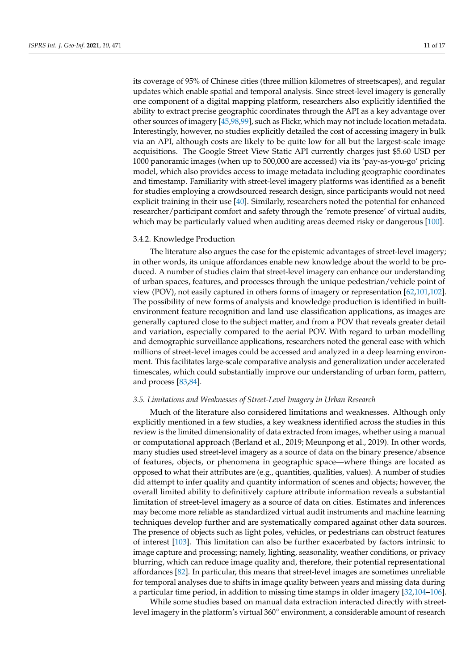its coverage of 95% of Chinese cities (three million kilometres of streetscapes), and regular updates which enable spatial and temporal analysis. Since street-level imagery is generally one component of a digital mapping platform, researchers also explicitly identified the ability to extract precise geographic coordinates through the API as a key advantage over other sources of imagery [\[45,](#page-14-6)[98,](#page-16-7)[99\]](#page-16-8), such as Flickr, which may not include location metadata. Interestingly, however, no studies explicitly detailed the cost of accessing imagery in bulk via an API, although costs are likely to be quite low for all but the largest-scale image acquisitions. The Google Street View Static API currently charges just \$5.60 USD per 1000 panoramic images (when up to 500,000 are accessed) via its 'pay-as-you-go' pricing model, which also provides access to image metadata including geographic coordinates and timestamp. Familiarity with street-level imagery platforms was identified as a benefit for studies employing a crowdsourced research design, since participants would not need explicit training in their use [\[40\]](#page-14-1). Similarly, researchers noted the potential for enhanced researcher/participant comfort and safety through the 'remote presence' of virtual audits, which may be particularly valued when auditing areas deemed risky or dangerous [\[100\]](#page-16-9).

# 3.4.2. Knowledge Production

The literature also argues the case for the epistemic advantages of street-level imagery; in other words, its unique affordances enable new knowledge about the world to be produced. A number of studies claim that street-level imagery can enhance our understanding of urban spaces, features, and processes through the unique pedestrian/vehicle point of view (POV), not easily captured in others forms of imagery or representation [\[62](#page-14-22)[,101](#page-16-10)[,102\]](#page-16-11). The possibility of new forms of analysis and knowledge production is identified in builtenvironment feature recognition and land use classification applications, as images are generally captured close to the subject matter, and from a POV that reveals greater detail and variation, especially compared to the aerial POV. With regard to urban modelling and demographic surveillance applications, researchers noted the general ease with which millions of street-level images could be accessed and analyzed in a deep learning environment. This facilitates large-scale comparative analysis and generalization under accelerated timescales, which could substantially improve our understanding of urban form, pattern, and process [\[83,](#page-15-18)[84\]](#page-15-19).

### *3.5. Limitations and Weaknesses of Street-Level Imagery in Urban Research*

Much of the literature also considered limitations and weaknesses. Although only explicitly mentioned in a few studies, a key weakness identified across the studies in this review is the limited dimensionality of data extracted from images, whether using a manual or computational approach (Berland et al., 2019; Meunpong et al., 2019). In other words, many studies used street-level imagery as a source of data on the binary presence/absence of features, objects, or phenomena in geographic space—where things are located as opposed to what their attributes are (e.g., quantities, qualities, values). A number of studies did attempt to infer quality and quantity information of scenes and objects; however, the overall limited ability to definitively capture attribute information reveals a substantial limitation of street-level imagery as a source of data on cities. Estimates and inferences may become more reliable as standardized virtual audit instruments and machine learning techniques develop further and are systematically compared against other data sources. The presence of objects such as light poles, vehicles, or pedestrians can obstruct features of interest [\[103\]](#page-16-12). This limitation can also be further exacerbated by factors intrinsic to image capture and processing; namely, lighting, seasonality, weather conditions, or privacy blurring, which can reduce image quality and, therefore, their potential representational affordances [\[82\]](#page-15-17). In particular, this means that street-level images are sometimes unreliable for temporal analyses due to shifts in image quality between years and missing data during a particular time period, in addition to missing time stamps in older imagery [\[32](#page-13-22)[,104](#page-16-13)[–106\]](#page-16-14).

While some studies based on manual data extraction interacted directly with streetlevel imagery in the platform's virtual 360° environment, a considerable amount of research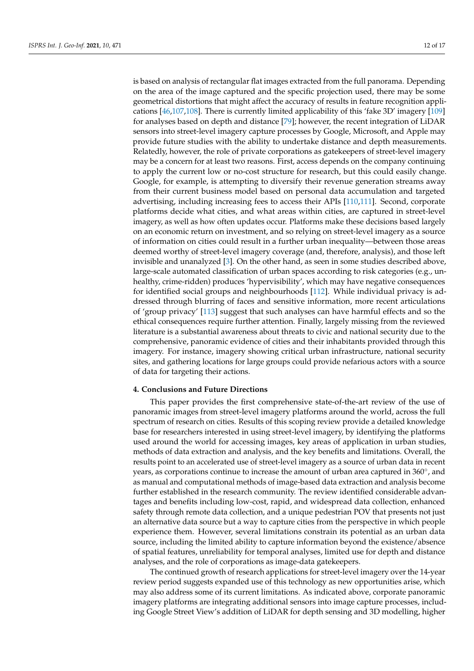is based on analysis of rectangular flat images extracted from the full panorama. Depending on the area of the image captured and the specific projection used, there may be some geometrical distortions that might affect the accuracy of results in feature recognition applications [\[46,](#page-14-7)[107,](#page-16-15)[108\]](#page-16-16). There is currently limited applicability of this 'fake 3D' imagery [\[109\]](#page-16-17) for analyses based on depth and distance [\[79\]](#page-15-14); however, the recent integration of LiDAR sensors into street-level imagery capture processes by Google, Microsoft, and Apple may provide future studies with the ability to undertake distance and depth measurements. Relatedly, however, the role of private corporations as gatekeepers of street-level imagery may be a concern for at least two reasons. First, access depends on the company continuing to apply the current low or no-cost structure for research, but this could easily change. Google, for example, is attempting to diversify their revenue generation streams away from their current business model based on personal data accumulation and targeted advertising, including increasing fees to access their APIs [\[110](#page-16-18)[,111\]](#page-16-19). Second, corporate platforms decide what cities, and what areas within cities, are captured in street-level imagery, as well as how often updates occur. Platforms make these decisions based largely on an economic return on investment, and so relying on street-level imagery as a source of information on cities could result in a further urban inequality—between those areas deemed worthy of street-level imagery coverage (and, therefore, analysis), and those left invisible and unanalyzed [\[3\]](#page-12-2). On the other hand, as seen in some studies described above, large-scale automated classification of urban spaces according to risk categories (e.g., unhealthy, crime-ridden) produces 'hypervisibility', which may have negative consequences for identified social groups and neighbourhoods [\[112\]](#page-16-20). While individual privacy is addressed through blurring of faces and sensitive information, more recent articulations of 'group privacy' [\[113\]](#page-16-21) suggest that such analyses can have harmful effects and so the ethical consequences require further attention. Finally, largely missing from the reviewed literature is a substantial awareness about threats to civic and national security due to the comprehensive, panoramic evidence of cities and their inhabitants provided through this imagery. For instance, imagery showing critical urban infrastructure, national security sites, and gathering locations for large groups could provide nefarious actors with a source of data for targeting their actions.

### **4. Conclusions and Future Directions**

This paper provides the first comprehensive state-of-the-art review of the use of panoramic images from street-level imagery platforms around the world, across the full spectrum of research on cities. Results of this scoping review provide a detailed knowledge base for researchers interested in using street-level imagery, by identifying the platforms used around the world for accessing images, key areas of application in urban studies, methods of data extraction and analysis, and the key benefits and limitations. Overall, the results point to an accelerated use of street-level imagery as a source of urban data in recent years, as corporations continue to increase the amount of urban area captured in 360°, and as manual and computational methods of image-based data extraction and analysis become further established in the research community. The review identified considerable advantages and benefits including low-cost, rapid, and widespread data collection, enhanced safety through remote data collection, and a unique pedestrian POV that presents not just an alternative data source but a way to capture cities from the perspective in which people experience them. However, several limitations constrain its potential as an urban data source, including the limited ability to capture information beyond the existence/absence of spatial features, unreliability for temporal analyses, limited use for depth and distance analyses, and the role of corporations as image-data gatekeepers.

The continued growth of research applications for street-level imagery over the 14-year review period suggests expanded use of this technology as new opportunities arise, which may also address some of its current limitations. As indicated above, corporate panoramic imagery platforms are integrating additional sensors into image capture processes, including Google Street View's addition of LiDAR for depth sensing and 3D modelling, higher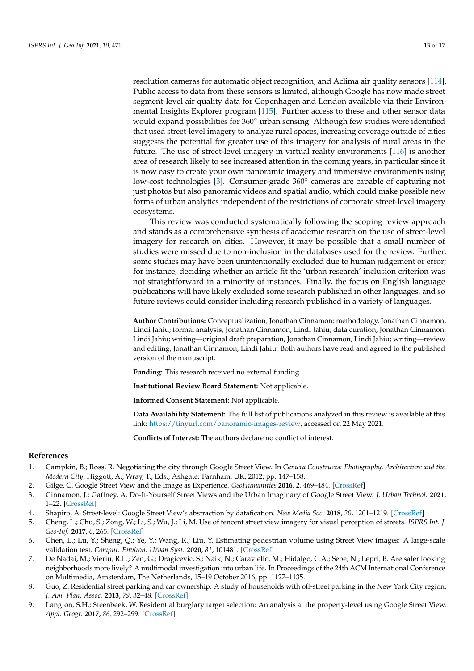resolution cameras for automatic object recognition, and Aclima air quality sensors [\[114\]](#page-16-22). Public access to data from these sensors is limited, although Google has now made street segment-level air quality data for Copenhagen and London available via their Environmental Insights Explorer program [\[115\]](#page-16-23). Further access to these and other sensor data would expand possibilities for 360◦ urban sensing. Although few studies were identified that used street-level imagery to analyze rural spaces, increasing coverage outside of cities suggests the potential for greater use of this imagery for analysis of rural areas in the future. The use of street-level imagery in virtual reality environments [\[116\]](#page-16-24) is another area of research likely to see increased attention in the coming years, in particular since it is now easy to create your own panoramic imagery and immersive environments using low-cost technologies [\[3\]](#page-12-2). Consumer-grade 360◦ cameras are capable of capturing not just photos but also panoramic videos and spatial audio, which could make possible new forms of urban analytics independent of the restrictions of corporate street-level imagery ecosystems.

This review was conducted systematically following the scoping review approach and stands as a comprehensive synthesis of academic research on the use of street-level imagery for research on cities. However, it may be possible that a small number of studies were missed due to non-inclusion in the databases used for the review. Further, some studies may have been unintentionally excluded due to human judgement or error; for instance, deciding whether an article fit the 'urban research' inclusion criterion was not straightforward in a minority of instances. Finally, the focus on English language publications will have likely excluded some research published in other languages, and so future reviews could consider including research published in a variety of languages.

**Author Contributions:** Conceptualization, Jonathan Cinnamon; methodology, Jonathan Cinnamon, Lindi Jahiu; formal analysis, Jonathan Cinnamon, Lindi Jahiu; data curation, Jonathan Cinnamon, Lindi Jahiu; writing—original draft preparation, Jonathan Cinnamon, Lindi Jahiu; writing—review and editing, Jonathan Cinnamon, Lindi Jahiu. Both authors have read and agreed to the published version of the manuscript.

**Funding:** This research received no external funding.

**Institutional Review Board Statement:** Not applicable.

**Informed Consent Statement:** Not applicable.

**Data Availability Statement:** The full list of publications analyzed in this review is available at this link: [https://tinyurl.com/panoramic-images-review,](https://tinyurl.com/panoramic-images-review) accessed on 22 May 2021.

**Conflicts of Interest:** The authors declare no conflict of interest.

### **References**

- <span id="page-12-0"></span>1. Campkin, B.; Ross, R. Negotiating the city through Google Street View. In *Camera Constructs: Photography, Architecture and the Modern City*; Higgott, A., Wray, T., Eds.; Ashgate: Farnham, UK, 2012; pp. 147–158.
- <span id="page-12-1"></span>2. Gilge, C. Google Street View and the Image as Experience. *GeoHumanities* **2016**, *2*, 469–484. [\[CrossRef\]](http://doi.org/10.1080/2373566X.2016.1217741)
- <span id="page-12-2"></span>3. Cinnamon, J.; Gaffney, A. Do-It-Yourself Street Views and the Urban Imaginary of Google Street View. *J. Urban Technol.* **2021**, 1–22. [\[CrossRef\]](http://doi.org/10.1080/10630732.2021.1910467)
- <span id="page-12-3"></span>4. Shapiro, A. Street-level: Google Street View's abstraction by datafication. *New Media Soc.* **2018**, *20*, 1201–1219. [\[CrossRef\]](http://doi.org/10.1177/1461444816687293)
- <span id="page-12-4"></span>5. Cheng, L.; Chu, S.; Zong, W.; Li, S.; Wu, J.; Li, M. Use of tencent street view imagery for visual perception of streets. *ISPRS Int. J. Geo-Inf.* **2017**, *6*, 265. [\[CrossRef\]](http://doi.org/10.3390/ijgi6090265)
- <span id="page-12-5"></span>6. Chen, L.; Lu, Y.; Sheng, Q.; Ye, Y.; Wang, R.; Liu, Y. Estimating pedestrian volume using Street View images: A large-scale validation test. *Comput. Environ. Urban Syst.* **2020**, *81*, 101481. [\[CrossRef\]](http://doi.org/10.1016/j.compenvurbsys.2020.101481)
- <span id="page-12-6"></span>7. De Nadai, M.; Vieriu, R.L.; Zen, G.; Dragicevic, S.; Naik, N.; Caraviello, M.; Hidalgo, C.A.; Sebe, N.; Lepri, B. Are safer looking neighborhoods more lively? A multimodal investigation into urban life. In Proceedings of the 24th ACM International Conference on Multimedia, Amsterdam, The Netherlands, 15–19 October 2016; pp. 1127–1135.
- <span id="page-12-7"></span>8. Guo, Z. Residential street parking and car ownership: A study of households with off-street parking in the New York City region. *J. Am. Plan. Assoc.* **2013**, *79*, 32–48. [\[CrossRef\]](http://doi.org/10.1080/01944363.2013.790100)
- <span id="page-12-8"></span>9. Langton, S.H.; Steenbeek, W. Residential burglary target selection: An analysis at the property-level using Google Street View. *Appl. Geogr.* **2017**, *86*, 292–299. [\[CrossRef\]](http://doi.org/10.1016/j.apgeog.2017.06.014)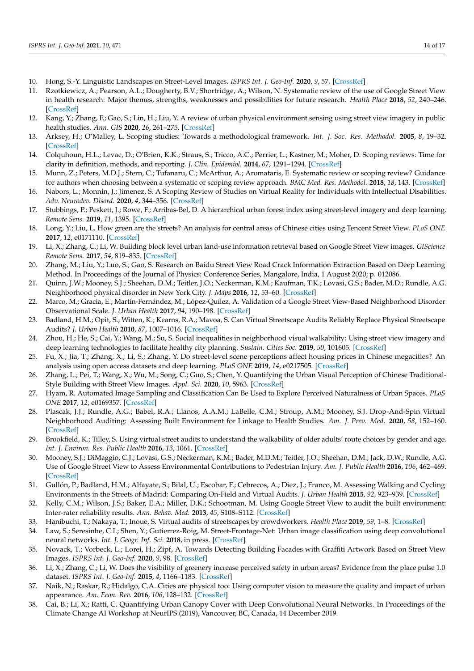- <span id="page-13-0"></span>10. Hong, S.-Y. Linguistic Landscapes on Street-Level Images. *ISPRS Int. J. Geo-Inf.* **2020**, *9*, 57. [\[CrossRef\]](http://doi.org/10.3390/ijgi9010057)
- <span id="page-13-1"></span>11. Rzotkiewicz, A.; Pearson, A.L.; Dougherty, B.V.; Shortridge, A.; Wilson, N. Systematic review of the use of Google Street View in health research: Major themes, strengths, weaknesses and possibilities for future research. *Health Place* **2018**, *52*, 240–246. [\[CrossRef\]](http://doi.org/10.1016/j.healthplace.2018.07.001)
- <span id="page-13-2"></span>12. Kang, Y.; Zhang, F.; Gao, S.; Lin, H.; Liu, Y. A review of urban physical environment sensing using street view imagery in public health studies. *Ann. GIS* **2020**, *26*, 261–275. [\[CrossRef\]](http://doi.org/10.1080/19475683.2020.1791954)
- <span id="page-13-3"></span>13. Arksey, H.; O'Malley, L. Scoping studies: Towards a methodological framework. *Int. J. Soc. Res. Methodol.* **2005**, *8*, 19–32. [\[CrossRef\]](http://doi.org/10.1080/1364557032000119616)
- <span id="page-13-4"></span>14. Colquhoun, H.L.; Levac, D.; O'Brien, K.K.; Straus, S.; Tricco, A.C.; Perrier, L.; Kastner, M.; Moher, D. Scoping reviews: Time for clarity in definition, methods, and reporting. *J. Clin. Epidemiol.* **2014**, *67*, 1291–1294. [\[CrossRef\]](http://doi.org/10.1016/j.jclinepi.2014.03.013)
- <span id="page-13-5"></span>15. Munn, Z.; Peters, M.D.J.; Stern, C.; Tufanaru, C.; McArthur, A.; Aromataris, E. Systematic review or scoping review? Guidance for authors when choosing between a systematic or scoping review approach. *BMC Med. Res. Methodol.* **2018**, *18*, 143. [\[CrossRef\]](http://doi.org/10.1186/s12874-018-0611-x)
- <span id="page-13-6"></span>16. Nabors, L.; Monnin, J.; Jimenez, S. A Scoping Review of Studies on Virtual Reality for Individuals with Intellectual Disabilities. *Adv. Neurodev. Disord.* **2020**, *4*, 344–356. [\[CrossRef\]](http://doi.org/10.1007/s41252-020-00177-4)
- <span id="page-13-7"></span>17. Stubbings, P.; Peskett, J.; Rowe, F.; Arribas-Bel, D. A hierarchical urban forest index using street-level imagery and deep learning. *Remote Sens.* **2019**, *11*, 1395. [\[CrossRef\]](http://doi.org/10.3390/rs11121395)
- <span id="page-13-8"></span>18. Long, Y.; Liu, L. How green are the streets? An analysis for central areas of Chinese cities using Tencent Street View. *PLoS ONE* **2017**, *12*, e0171110. [\[CrossRef\]](http://doi.org/10.1371/journal.pone.0171110)
- <span id="page-13-9"></span>19. Li, X.; Zhang, C.; Li, W. Building block level urban land-use information retrieval based on Google Street View images. *GIScience Remote Sens.* **2017**, *54*, 819–835. [\[CrossRef\]](http://doi.org/10.1080/15481603.2017.1338389)
- <span id="page-13-10"></span>20. Zhang, M.; Liu, Y.; Luo, S.; Gao, S. Research on Baidu Street View Road Crack Information Extraction Based on Deep Learning Method. In Proceedings of the Journal of Physics: Conference Series, Mangalore, India, 1 August 2020; p. 012086.
- <span id="page-13-11"></span>21. Quinn, J.W.; Mooney, S.J.; Sheehan, D.M.; Teitler, J.O.; Neckerman, K.M.; Kaufman, T.K.; Lovasi, G.S.; Bader, M.D.; Rundle, A.G. Neighborhood physical disorder in New York City. *J. Maps* **2016**, *12*, 53–60. [\[CrossRef\]](http://doi.org/10.1080/17445647.2014.978910)
- <span id="page-13-12"></span>22. Marco, M.; Gracia, E.; Martín-Fernández, M.; López-Quílez, A. Validation of a Google Street View-Based Neighborhood Disorder Observational Scale. *J. Urban Health* **2017**, *94*, 190–198. [\[CrossRef\]](http://doi.org/10.1007/s11524-017-0134-5)
- <span id="page-13-13"></span>23. Badland, H.M.; Opit, S.; Witten, K.; Kearns, R.A.; Mavoa, S. Can Virtual Streetscape Audits Reliably Replace Physical Streetscape Audits? *J. Urban Health* **2010**, *87*, 1007–1016. [\[CrossRef\]](http://doi.org/10.1007/s11524-010-9505-x)
- <span id="page-13-14"></span>24. Zhou, H.; He, S.; Cai, Y.; Wang, M.; Su, S. Social inequalities in neighborhood visual walkability: Using street view imagery and deep learning technologies to facilitate healthy city planning. *Sustain. Cities Soc.* **2019**, *50*, 101605. [\[CrossRef\]](http://doi.org/10.1016/j.scs.2019.101605)
- <span id="page-13-15"></span>25. Fu, X.; Jia, T.; Zhang, X.; Li, S.; Zhang, Y. Do street-level scene perceptions affect housing prices in Chinese megacities? An analysis using open access datasets and deep learning. *PLoS ONE* **2019**, *14*, e0217505. [\[CrossRef\]](http://doi.org/10.1371/journal.pone.0217505)
- <span id="page-13-16"></span>26. Zhang, L.; Pei, T.; Wang, X.; Wu, M.; Song, C.; Guo, S.; Chen, Y. Quantifying the Urban Visual Perception of Chinese Traditional-Style Building with Street View Images. *Appl. Sci.* **2020**, *10*, 5963. [\[CrossRef\]](http://doi.org/10.3390/app10175963)
- <span id="page-13-17"></span>27. Hyam, R. Automated Image Sampling and Classification Can Be Used to Explore Perceived Naturalness of Urban Spaces. *PLoS ONE* **2017**, *12*, e0169357. [\[CrossRef\]](http://doi.org/10.1371/journal.pone.0169357)
- <span id="page-13-18"></span>28. Plascak, J.J.; Rundle, A.G.; Babel, R.A.; Llanos, A.A.M.; LaBelle, C.M.; Stroup, A.M.; Mooney, S.J. Drop-And-Spin Virtual Neighborhood Auditing: Assessing Built Environment for Linkage to Health Studies. *Am. J. Prev. Med.* **2020**, *58*, 152–160. [\[CrossRef\]](http://doi.org/10.1016/j.amepre.2019.08.032)
- <span id="page-13-19"></span>29. Brookfield, K.; Tilley, S. Using virtual street audits to understand the walkability of older adults' route choices by gender and age. *Int. J. Environ. Res. Public Health* **2016**, *13*, 1061. [\[CrossRef\]](http://doi.org/10.3390/ijerph13111061)
- <span id="page-13-20"></span>30. Mooney, S.J.; DiMaggio, C.J.; Lovasi, G.S.; Neckerman, K.M.; Bader, M.D.M.; Teitler, J.O.; Sheehan, D.M.; Jack, D.W.; Rundle, A.G. Use of Google Street View to Assess Environmental Contributions to Pedestrian Injury. *Am. J. Public Health* **2016**, *106*, 462–469. [\[CrossRef\]](http://doi.org/10.2105/AJPH.2015.302978)
- <span id="page-13-21"></span>31. Gullón, P.; Badland, H.M.; Alfayate, S.; Bilal, U.; Escobar, F.; Cebrecos, A.; Diez, J.; Franco, M. Assessing Walking and Cycling Environments in the Streets of Madrid: Comparing On-Field and Virtual Audits. *J. Urban Health* **2015**, *92*, 923–939. [\[CrossRef\]](http://doi.org/10.1007/s11524-015-9982-z)
- <span id="page-13-22"></span>32. Kelly, C.M.; Wilson, J.S.; Baker, E.A.; Miller, D.K.; Schootman, M. Using Google Street View to audit the built environment: Inter-rater reliability results. *Ann. Behav. Med.* **2013**, *45*, S108–S112. [\[CrossRef\]](http://doi.org/10.1007/s12160-012-9419-9)
- <span id="page-13-23"></span>33. Hanibuchi, T.; Nakaya, T.; Inoue, S. Virtual audits of streetscapes by crowdworkers. *Health Place* **2019**, *59*, 1–8. [\[CrossRef\]](http://doi.org/10.1016/j.healthplace.2019.102203)
- <span id="page-13-24"></span>34. Law, S.; Seresinhe, C.I.; Shen, Y.; Gutierrez-Roig, M. Street-Frontage-Net: Urban image classification using deep convolutional neural networks. *Int. J. Geogr. Inf. Sci.* **2018**, in press. [\[CrossRef\]](http://doi.org/10.1080/13658816.2018.1555832)
- <span id="page-13-25"></span>35. Novack, T.; Vorbeck, L.; Lorei, H.; Zipf, A. Towards Detecting Building Facades with Graffiti Artwork Based on Street View Images. *ISPRS Int. J. Geo-Inf.* **2020**, *9*, 98. [\[CrossRef\]](http://doi.org/10.3390/ijgi9020098)
- <span id="page-13-26"></span>36. Li, X.; Zhang, C.; Li, W. Does the visibility of greenery increase perceived safety in urban areas? Evidence from the place pulse 1.0 dataset. *ISPRS Int. J. Geo-Inf.* **2015**, *4*, 1166–1183. [\[CrossRef\]](http://doi.org/10.3390/ijgi4031166)
- <span id="page-13-27"></span>37. Naik, N.; Raskar, R.; Hidalgo, C.A. Cities are physical too: Using computer vision to measure the quality and impact of urban appearance. *Am. Econ. Rev.* **2016**, *106*, 128–132. [\[CrossRef\]](http://doi.org/10.1257/aer.p20161030)
- <span id="page-13-28"></span>38. Cai, B.; Li, X.; Ratti, C. Quantifying Urban Canopy Cover with Deep Convolutional Neural Networks. In Proceedings of the Climate Change AI Workshop at NeurIPS (2019), Vancouver, BC, Canada, 14 December 2019.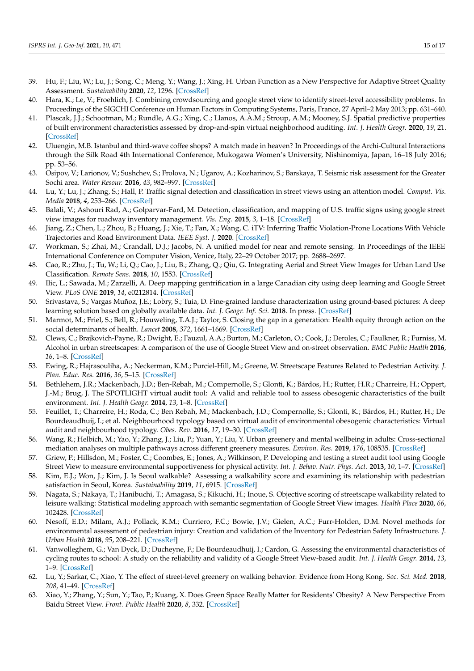- <span id="page-14-0"></span>39. Hu, F.; Liu, W.; Lu, J.; Song, C.; Meng, Y.; Wang, J.; Xing, H. Urban Function as a New Perspective for Adaptive Street Quality Assessment. *Sustainability* **2020**, *12*, 1296. [\[CrossRef\]](http://doi.org/10.3390/su12041296)
- <span id="page-14-1"></span>40. Hara, K.; Le, V.; Froehlich, J. Combining crowdsourcing and google street view to identify street-level accessibility problems. In Proceedings of the SIGCHI Conference on Human Factors in Computing Systems, Paris, France, 27 April–2 May 2013; pp. 631–640.
- <span id="page-14-2"></span>41. Plascak, J.J.; Schootman, M.; Rundle, A.G.; Xing, C.; Llanos, A.A.M.; Stroup, A.M.; Mooney, S.J. Spatial predictive properties of built environment characteristics assessed by drop-and-spin virtual neighborhood auditing. *Int. J. Health Geogr.* **2020**, *19*, 21. [\[CrossRef\]](http://doi.org/10.1186/s12942-020-00213-5)
- <span id="page-14-3"></span>42. Uluengin, M.B. Istanbul and third-wave coffee shops? A match made in heaven? In Proceedings of the Archi-Cultural Interactions through the Silk Road 4th International Conference, Mukogawa Women's University, Nishinomiya, Japan, 16–18 July 2016; pp. 53–56.
- <span id="page-14-4"></span>43. Osipov, V.; Larionov, V.; Sushchev, S.; Frolova, N.; Ugarov, A.; Kozharinov, S.; Barskaya, T. Seismic risk assessment for the Greater Sochi area. *Water Resour.* **2016**, *43*, 982–997. [\[CrossRef\]](http://doi.org/10.1134/S0097807816070095)
- <span id="page-14-5"></span>44. Lu, Y.; Lu, J.; Zhang, S.; Hall, P. Traffic signal detection and classification in street views using an attention model. *Comput. Vis. Media* **2018**, *4*, 253–266. [\[CrossRef\]](http://doi.org/10.1007/s41095-018-0116-x)
- <span id="page-14-6"></span>45. Balali, V.; Ashouri Rad, A.; Golparvar-Fard, M. Detection, classification, and mapping of U.S. traffic signs using google street view images for roadway inventory management. *Vis. Eng.* **2015**, *3*, 1–18. [\[CrossRef\]](http://doi.org/10.1186/s40327-015-0027-1)
- <span id="page-14-7"></span>46. Jiang, Z.; Chen, L.; Zhou, B.; Huang, J.; Xie, T.; Fan, X.; Wang, C. iTV: Inferring Traffic Violation-Prone Locations With Vehicle Trajectories and Road Environment Data. *IEEE Syst. J.* **2020**. [\[CrossRef\]](http://doi.org/10.1109/JSYST.2020.3012743)
- <span id="page-14-8"></span>47. Workman, S.; Zhai, M.; Crandall, D.J.; Jacobs, N. A unified model for near and remote sensing. In Proceedings of the IEEE International Conference on Computer Vision, Venice, Italy, 22–29 October 2017; pp. 2688–2697.
- <span id="page-14-9"></span>48. Cao, R.; Zhu, J.; Tu, W.; Li, Q.; Cao, J.; Liu, B.; Zhang, Q.; Qiu, G. Integrating Aerial and Street View Images for Urban Land Use Classification. *Remote Sens.* **2018**, *10*, 1553. [\[CrossRef\]](http://doi.org/10.3390/rs10101553)
- <span id="page-14-10"></span>49. Ilic, L.; Sawada, M.; Zarzelli, A. Deep mapping gentrification in a large Canadian city using deep learning and Google Street View. *PLoS ONE* **2019**, *14*, e0212814. [\[CrossRef\]](http://doi.org/10.1371/journal.pone.0212814)
- <span id="page-14-11"></span>50. Srivastava, S.; Vargas Muñoz, J.E.; Lobry, S.; Tuia, D. Fine-grained landuse characterization using ground-based pictures: A deep learning solution based on globally available data. *Int. J. Geogr. Inf. Sci.* **2018**. In press. [\[CrossRef\]](http://doi.org/10.1080/13658816.2018.1542698)
- <span id="page-14-12"></span>51. Marmot, M.; Friel, S.; Bell, R.; Houweling, T.A.J.; Taylor, S. Closing the gap in a generation: Health equity through action on the social determinants of health. *Lancet* **2008**, *372*, 1661–1669. [\[CrossRef\]](http://doi.org/10.1016/S0140-6736(08)61690-6)
- <span id="page-14-13"></span>52. Clews, C.; Brajkovich-Payne, R.; Dwight, E.; Fauzul, A.A.; Burton, M.; Carleton, O.; Cook, J.; Deroles, C.; Faulkner, R.; Furniss, M. Alcohol in urban streetscapes: A comparison of the use of Google Street View and on-street observation. *BMC Public Health* **2016**, *16*, 1–8. [\[CrossRef\]](http://doi.org/10.1186/s12889-016-3115-9)
- <span id="page-14-14"></span>53. Ewing, R.; Hajrasouliha, A.; Neckerman, K.M.; Purciel-Hill, M.; Greene, W. Streetscape Features Related to Pedestrian Activity. *J. Plan. Educ. Res.* **2016**, *36*, 5–15. [\[CrossRef\]](http://doi.org/10.1177/0739456X15591585)
- <span id="page-14-15"></span>54. Bethlehem, J.R.; Mackenbach, J.D.; Ben-Rebah, M.; Compernolle, S.; Glonti, K.; Bárdos, H.; Rutter, H.R.; Charreire, H.; Oppert, J.-M.; Brug, J. The SPOTLIGHT virtual audit tool: A valid and reliable tool to assess obesogenic characteristics of the built environment. *Int. J. Health Geogr.* **2014**, *13*, 1–8. [\[CrossRef\]](http://doi.org/10.1186/1476-072X-13-52)
- <span id="page-14-16"></span>55. Feuillet, T.; Charreire, H.; Roda, C.; Ben Rebah, M.; Mackenbach, J.D.; Compernolle, S.; Glonti, K.; Bárdos, H.; Rutter, H.; De Bourdeaudhuij, I.; et al. Neighbourhood typology based on virtual audit of environmental obesogenic characteristics: Virtual audit and neighbourhood typology. *Obes. Rev.* **2016**, *17*, 19–30. [\[CrossRef\]](http://doi.org/10.1111/obr.12378)
- <span id="page-14-17"></span>56. Wang, R.; Helbich, M.; Yao, Y.; Zhang, J.; Liu, P.; Yuan, Y.; Liu, Y. Urban greenery and mental wellbeing in adults: Cross-sectional mediation analyses on multiple pathways across different greenery measures. *Environ. Res.* **2019**, *176*, 108535. [\[CrossRef\]](http://doi.org/10.1016/j.envres.2019.108535)
- <span id="page-14-18"></span>57. Griew, P.; Hillsdon, M.; Foster, C.; Coombes, E.; Jones, A.; Wilkinson, P. Developing and testing a street audit tool using Google Street View to measure environmental supportiveness for physical activity. *Int. J. Behav. Nutr. Phys. Act.* **2013**, *10*, 1–7. [\[CrossRef\]](http://doi.org/10.1186/1479-5868-10-103)
- 58. Kim, E.J.; Won, J.; Kim, J. Is Seoul walkable? Assessing a walkability score and examining its relationship with pedestrian satisfaction in Seoul, Korea. *Sustainability* **2019**, *11*, 6915. [\[CrossRef\]](http://doi.org/10.3390/su11246915)
- <span id="page-14-19"></span>59. Nagata, S.; Nakaya, T.; Hanibuchi, T.; Amagasa, S.; Kikuchi, H.; Inoue, S. Objective scoring of streetscape walkability related to leisure walking: Statistical modeling approach with semantic segmentation of Google Street View images. *Health Place* **2020**, *66*, 102428. [\[CrossRef\]](http://doi.org/10.1016/j.healthplace.2020.102428)
- <span id="page-14-20"></span>60. Nesoff, E.D.; Milam, A.J.; Pollack, K.M.; Curriero, F.C.; Bowie, J.V.; Gielen, A.C.; Furr-Holden, D.M. Novel methods for environmental assessment of pedestrian injury: Creation and validation of the Inventory for Pedestrian Safety Infrastructure. *J. Urban Health* **2018**, *95*, 208–221. [\[CrossRef\]](http://doi.org/10.1007/s11524-017-0226-2)
- <span id="page-14-21"></span>61. Vanwolleghem, G.; Van Dyck, D.; Ducheyne, F.; De Bourdeaudhuij, I.; Cardon, G. Assessing the environmental characteristics of cycling routes to school: A study on the reliability and validity of a Google Street View-based audit. *Int. J. Health Geogr.* **2014**, *13*, 1–9. [\[CrossRef\]](http://doi.org/10.1186/1476-072X-13-19)
- <span id="page-14-22"></span>62. Lu, Y.; Sarkar, C.; Xiao, Y. The effect of street-level greenery on walking behavior: Evidence from Hong Kong. *Soc. Sci. Med.* **2018**, *208*, 41–49. [\[CrossRef\]](http://doi.org/10.1016/j.socscimed.2018.05.022)
- <span id="page-14-23"></span>63. Xiao, Y.; Zhang, Y.; Sun, Y.; Tao, P.; Kuang, X. Does Green Space Really Matter for Residents' Obesity? A New Perspective From Baidu Street View. *Front. Public Health* **2020**, *8*, 332. [\[CrossRef\]](http://doi.org/10.3389/fpubh.2020.00332)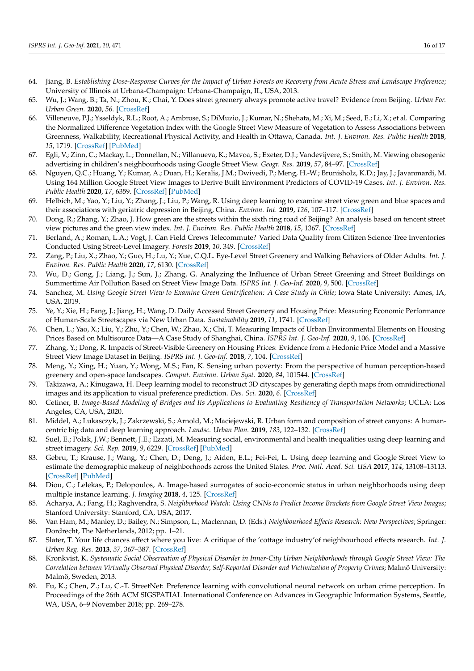- <span id="page-15-0"></span>64. Jiang, B. *Establishing Dose-Response Curves for the Impact of Urban Forests on Recovery from Acute Stress and Landscape Preference*; University of Illinois at Urbana-Champaign: Urbana-Champaign, IL, USA, 2013.
- <span id="page-15-1"></span>65. Wu, J.; Wang, B.; Ta, N.; Zhou, K.; Chai, Y. Does street greenery always promote active travel? Evidence from Beijing. *Urban For. Urban Green.* **2020**, *56*. [\[CrossRef\]](http://doi.org/10.1016/j.ufug.2020.126886)
- <span id="page-15-2"></span>66. Villeneuve, P.J.; Ysseldyk, R.L.; Root, A.; Ambrose, S.; DiMuzio, J.; Kumar, N.; Shehata, M.; Xi, M.; Seed, E.; Li, X.; et al. Comparing the Normalized Difference Vegetation Index with the Google Street View Measure of Vegetation to Assess Associations between Greenness, Walkability, Recreational Physical Activity, and Health in Ottawa, Canada. *Int. J. Environ. Res. Public Health* **2018**, *15*, 1719. [\[CrossRef\]](http://doi.org/10.3390/ijerph15081719) [\[PubMed\]](http://www.ncbi.nlm.nih.gov/pubmed/30103456)
- <span id="page-15-3"></span>67. Egli, V.; Zinn, C.; Mackay, L.; Donnellan, N.; Villanueva, K.; Mavoa, S.; Exeter, D.J.; Vandevijvere, S.; Smith, M. Viewing obesogenic advertising in children's neighbourhoods using Google Street View. *Geogr. Res.* **2019**, *57*, 84–97. [\[CrossRef\]](http://doi.org/10.1111/1745-5871.12291)
- <span id="page-15-4"></span>68. Nguyen, Q.C.; Huang, Y.; Kumar, A.; Duan, H.; Keralis, J.M.; Dwivedi, P.; Meng, H.-W.; Brunisholz, K.D.; Jay, J.; Javanmardi, M. Using 164 Million Google Street View Images to Derive Built Environment Predictors of COVID-19 Cases. *Int. J. Environ. Res. Public Health* **2020**, *17*, 6359. [\[CrossRef\]](http://doi.org/10.3390/ijerph17176359) [\[PubMed\]](http://www.ncbi.nlm.nih.gov/pubmed/32882867)
- <span id="page-15-5"></span>69. Helbich, M.; Yao, Y.; Liu, Y.; Zhang, J.; Liu, P.; Wang, R. Using deep learning to examine street view green and blue spaces and their associations with geriatric depression in Beijing, China. *Environ. Int.* **2019**, *126*, 107–117. [\[CrossRef\]](http://doi.org/10.1016/j.envint.2019.02.013)
- <span id="page-15-6"></span>70. Dong, R.; Zhang, Y.; Zhao, J. How green are the streets within the sixth ring road of Beijing? An analysis based on tencent street view pictures and the green view index. *Int. J. Environ. Res. Public Health* **2018**, *15*, 1367. [\[CrossRef\]](http://doi.org/10.3390/ijerph15071367)
- <span id="page-15-7"></span>71. Berland, A.; Roman, L.A.; Vogt, J. Can Field Crews Telecommute? Varied Data Quality from Citizen Science Tree Inventories Conducted Using Street-Level Imagery. *Forests* **2019**, *10*, 349. [\[CrossRef\]](http://doi.org/10.3390/f10040349)
- <span id="page-15-8"></span>72. Zang, P.; Liu, X.; Zhao, Y.; Guo, H.; Lu, Y.; Xue, C.Q.L. Eye-Level Street Greenery and Walking Behaviors of Older Adults. *Int. J. Environ. Res. Public Health* **2020**, *17*, 6130. [\[CrossRef\]](http://doi.org/10.3390/ijerph17176130)
- <span id="page-15-9"></span>73. Wu, D.; Gong, J.; Liang, J.; Sun, J.; Zhang, G. Analyzing the Influence of Urban Street Greening and Street Buildings on Summertime Air Pollution Based on Street View Image Data. *ISPRS Int. J. Geo-Inf.* **2020**, *9*, 500. [\[CrossRef\]](http://doi.org/10.3390/ijgi9090500)
- <span id="page-15-10"></span>74. Sanchez, M. *Using Google Street View to Examine Green Gentrification: A Case Study in Chile; Iowa State University: Ames, IA,* USA, 2019.
- <span id="page-15-11"></span>75. Ye, Y.; Xie, H.; Fang, J.; Jiang, H.; Wang, D. Daily Accessed Street Greenery and Housing Price: Measuring Economic Performance of Human-Scale Streetscapes via New Urban Data. *Sustainability* **2019**, *11*, 1741. [\[CrossRef\]](http://doi.org/10.3390/su11061741)
- 76. Chen, L.; Yao, X.; Liu, Y.; Zhu, Y.; Chen, W.; Zhao, X.; Chi, T. Measuring Impacts of Urban Environmental Elements on Housing Prices Based on Multisource Data—A Case Study of Shanghai, China. *ISPRS Int. J. Geo-Inf.* **2020**, *9*, 106. [\[CrossRef\]](http://doi.org/10.3390/ijgi9020106)
- <span id="page-15-12"></span>77. Zhang, Y.; Dong, R. Impacts of Street-Visible Greenery on Housing Prices: Evidence from a Hedonic Price Model and a Massive Street View Image Dataset in Beijing. *ISPRS Int. J. Geo-Inf.* **2018**, *7*, 104. [\[CrossRef\]](http://doi.org/10.3390/ijgi7030104)
- <span id="page-15-13"></span>78. Meng, Y.; Xing, H.; Yuan, Y.; Wong, M.S.; Fan, K. Sensing urban poverty: From the perspective of human perception-based greenery and open-space landscapes. *Comput. Environ. Urban Syst.* **2020**, *84*, 101544. [\[CrossRef\]](http://doi.org/10.1016/j.compenvurbsys.2020.101544)
- <span id="page-15-14"></span>79. Takizawa, A.; Kinugawa, H. Deep learning model to reconstruct 3D cityscapes by generating depth maps from omnidirectional images and its application to visual preference prediction. *Des. Sci.* **2020**, *6*. [\[CrossRef\]](http://doi.org/10.1017/dsj.2020.27)
- <span id="page-15-15"></span>80. Cetiner, B. *Image-Based Modeling of Bridges and Its Applications to Evaluating Resiliency of Transportation Networks*; UCLA: Los Angeles, CA, USA, 2020.
- <span id="page-15-16"></span>81. Middel, A.; Lukasczyk, J.; Zakrzewski, S.; Arnold, M.; Maciejewski, R. Urban form and composition of street canyons: A humancentric big data and deep learning approach. *Landsc. Urban Plan.* **2019**, *183*, 122–132. [\[CrossRef\]](http://doi.org/10.1016/j.landurbplan.2018.12.001)
- <span id="page-15-17"></span>82. Suel, E.; Polak, J.W.; Bennett, J.E.; Ezzati, M. Measuring social, environmental and health inequalities using deep learning and street imagery. *Sci. Rep.* **2019**, *9*, 6229. [\[CrossRef\]](http://doi.org/10.1038/s41598-019-42036-w) [\[PubMed\]](http://www.ncbi.nlm.nih.gov/pubmed/31000744)
- <span id="page-15-18"></span>83. Gebru, T.; Krause, J.; Wang, Y.; Chen, D.; Deng, J.; Aiden, E.L.; Fei-Fei, L. Using deep learning and Google Street View to estimate the demographic makeup of neighborhoods across the United States. *Proc. Natl. Acad. Sci. USA* **2017**, *114*, 13108–13113. [\[CrossRef\]](http://doi.org/10.1073/pnas.1700035114) [\[PubMed\]](http://www.ncbi.nlm.nih.gov/pubmed/29183967)
- <span id="page-15-19"></span>84. Diou, C.; Lelekas, P.; Delopoulos, A. Image-based surrogates of socio-economic status in urban neighborhoods using deep multiple instance learning. *J. Imaging* **2018**, *4*, 125. [\[CrossRef\]](http://doi.org/10.3390/jimaging4110125)
- <span id="page-15-20"></span>85. Acharya, A.; Fang, H.; Raghvendra, S. *Neighborhood Watch: Using CNNs to Predict Income Brackets from Google Street View Images*; Stanford University: Stanford, CA, USA, 2017.
- <span id="page-15-21"></span>86. Van Ham, M.; Manley, D.; Bailey, N.; Simpson, L.; Maclennan, D. (Eds.) *Neighbourhood Effects Research: New Perspectives*; Springer: Dordrecht, The Netherlands, 2012; pp. 1–21.
- <span id="page-15-22"></span>87. Slater, T. Your life chances affect where you live: A critique of the 'cottage industry'of neighbourhood effects research. *Int. J. Urban Reg. Res.* **2013**, *37*, 367–387. [\[CrossRef\]](http://doi.org/10.1111/j.1468-2427.2013.01215.x)
- <span id="page-15-23"></span>88. Kronkvist, K. *Systematic Social Observation of Physical Disorder in Inner-City Urban Neighborhoods through Google Street View: The Correlation between Virtually Observed Physical Disorder, Self-Reported Disorder and Victimization of Property Crimes*; Malmö University: Malmö, Sweden, 2013.
- <span id="page-15-24"></span>89. Fu, K.; Chen, Z.; Lu, C.-T. StreetNet: Preference learning with convolutional neural network on urban crime perception. In Proceedings of the 26th ACM SIGSPATIAL International Conference on Advances in Geographic Information Systems, Seattle, WA, USA, 6–9 November 2018; pp. 269–278.